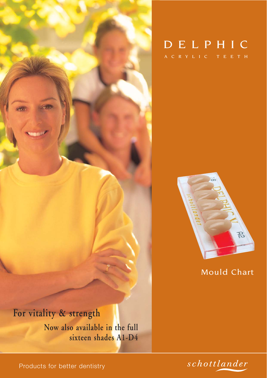

# ACRYLIC TEETH DELPHIC



Mould Chart

# **For vitality & strength**

**Now also available in the full sixteen shades A1-D4**



Products for better dentistry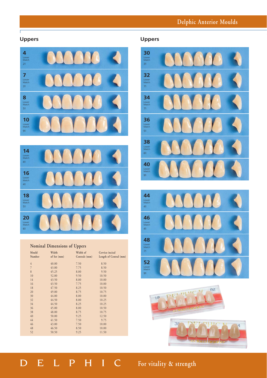# **Delphic Anterior Moulds**

### **Uppers**

 $\Gamma$ 





#### **Nominal Dimensions of Uppers**

| Mould          | Width       | Width of      | Cervico incisal        |  |
|----------------|-------------|---------------|------------------------|--|
| Number         | of Set (mm) | Centrals (mm) | Length of Central (mm) |  |
| $\overline{4}$ | 40.00       | 7.50          | 8.50                   |  |
| $\overline{7}$ | 43.00       | 7.75          | 8.50                   |  |
| 8              | 45.25       | 8.00          | 9.50                   |  |
| 10             | 52.00       | 9.50          | 10.50                  |  |
| 14             | 43.50       | 8.00          | 10.00                  |  |
| 16             | 43.50       | 7.75          | 10.00                  |  |
| 18             | 47.50       | 8.25          | 10.50                  |  |
| 20             | 49.00       | 8.75          | 10.75                  |  |
| 30             | 44.00       | 8.00          | 10.00                  |  |
| 32             | 44.50       | 8.00          | 10.25                  |  |
| 34             | 44.50       | 8.25          | 10.25                  |  |
| 36             | 45.00       | 8.00          | 10.50                  |  |
| 38             | 48.00       | 8.75          | 10.75                  |  |
| 40             | 50.00       | 9.25          | 12.50                  |  |
| 44             | 41.50       | 7.50          | 9.75                   |  |
| 46             | 43.00       | 7.50          | 10.00                  |  |
| 48             | 46.50       | 8.50          | 10.00                  |  |
| 52             | 50.50       | 9.25          | 11.50                  |  |
|                |             |               |                        |  |

#### **Uppers**







# DELPHIC **For vitality & strength**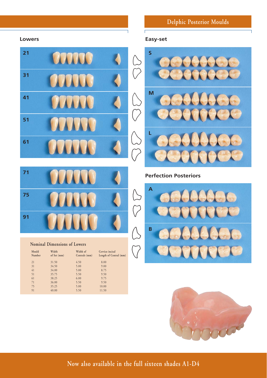# **Delphic Posterior Moulds**

#### **Lowers**

**91**

**Nominal Dimensions of Lowers**

41 34.00<br>51 35.75

Mould Width Width of Cervico incisal<br>
Number of Set (mm) Centrals (mm) Length of Cent

36.00 5.50 9.50<br>35.25 5.00 10.00

21 31.50 4.50 8.00<br>31 34.50 5.00 9.00  $\begin{array}{cccccc} 31 & & & 34.50 & & & 5.00 & & & 9.00 \\ 41 & & & 34.00 & & & 5.00 & & & 8.75 \\ 51 & & & 35.75 & & & 5.50 & & & 9.50 \\ \end{array}$ 

51 35.75 5.50 9.50<br>61 38.25 6.00 9.75 61 38.25 6.00 9.75<br>
71 36.00 5.50 9.50<br>
75 35.25 5.00 10.00

75 35.25 5.00 10.00<br>91 40.00 5.50 11.50 91 40.00 5.50 11.50

Length of Central (mm)



#### **Easy-set**

 $\Gamma$ 



#### **Perfection Posteriors**





**Now also available in the full sixteen shades A1-D4**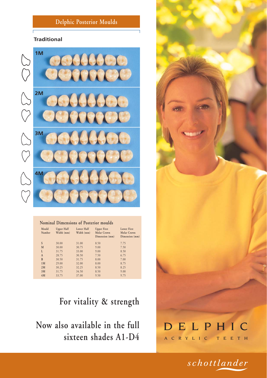### **Delphic Posterior Moulds**

#### **Traditional**



| Mould        | <b>Upper Half</b> | Lower Half | <b>Upper First</b>            | Lower First                   |  |  |
|--------------|-------------------|------------|-------------------------------|-------------------------------|--|--|
| Number       | Width (mm)        | Width (mm) | Molar Crown<br>Dimension (mm) | Molar Crown<br>Dimension (mm) |  |  |
| S            | 30.00             | 31.00      | 8.50                          | 7.75                          |  |  |
| M            | 30.00             | 30.75      | 9.00                          | 7.50                          |  |  |
| L            | 31.75             | 33.00      | 9.00                          | 8.50                          |  |  |
| $\mathsf{A}$ | 28.75             | 30.50      | 7.50                          | 6.75                          |  |  |
| B            | 30.50             | 31.75      | 8.00                          | 7.00                          |  |  |
| 1M           | 29.00             | 32.00      | 8.00                          | 8.75                          |  |  |
| 2M           | 30.25             | 32.25      | 8.50                          | 8.25                          |  |  |
| 3M           | 31.75             | 34.50      | 8.50                          | 9.00                          |  |  |
| 4M           | 33.75             | 37.00      | 9.50                          | 9.75                          |  |  |

**For vitality & strength**

**Now also available in the full sixteen shades A1-D4**

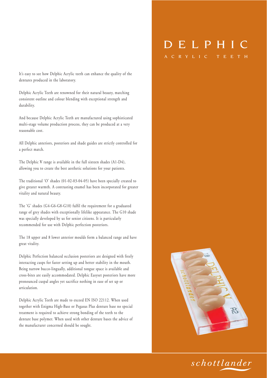It's easy to see how Delphic Acrylic teeth can enhance the quality of the dentures produced in the laboratory.

Delphic Acrylic Teeth are renowned for their natural beauty, matching consistent outline and colour blending with exceptional strength and durability.

And because Delphic Acrylic Teeth are manufactured using sophisticated multi-stage volume production process, they can be produced at a very reasonable cost.

All Delphic anteriors, posteriors and shade guides are strictly controlled for a perfect match.

The Delphic **V** range is available in the full sixteen shades (A1-D4), allowing you to create the best aesthetic solutions for your patients.

The traditional 'O' shades (01-02-03-04-05) have been specially created to give greater warmth. A contrasting enamel has been incorporated for greater vitality and natural beauty.

The 'G' shades (G4-G6-G8-G10) fulfil the requirement for a graduated range of grey shades with exceptionally lifelike appearance. The G10 shade was specially developed by us for senior citizens. It is particularly recommended for use with Delphic perfection posteriors.

The 18 upper and 8 lower anterior moulds form a balanced range and have great vitality.

Delphic Perfection balanced occlusion posteriors are designed with freely interacting cusps for faster setting up and better stability in the mouth. Being narrow bucco-lingually, additional tongue space is available and cross-bites are easily accommodated. Delphic Easyset posteriors have more pronounced cuspal angles yet sacrifice nothing in ease of set up or articulation.

Delphic Acrylic Teeth are made to exceed EN ISO 22112. When used together with Enigma High-Base or Pegasus Plus denture base no special treatment is required to achieve strong bonding of the teeth to the denture base polymer. When used with other denture bases the advice of the manufacturer concerned should be sought.

# DELPHIC

A C R Y L I C T E E